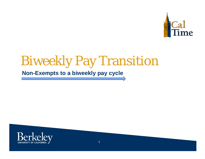

## Biweekly Pay Transition

### **Non-Exempts to a biweekly pay cycle**

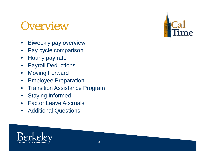## **Overview**

- $\bullet$ Biweekly pay overview
- $\bullet$ Pay cycle comparison
- $\bullet$ Hourly pay rate
- $\bullet$ Payroll Deductions
- $\bullet$ Moving Forward
- $\bullet$ Employee Preparation
- $\bullet$ Transition Assistance Program
- $\bullet$ Staying Informed
- $\bullet$ Factor Leave Accruals
- $\bullet$ Additional Questions



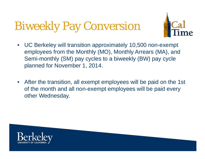## Biweekly Pay Conversion



- $\bullet$  UC Berkeley will transition approximately 10,500 non-exempt employees from the Monthly (MO), Monthly Arrears (MA), and Semi-monthly (SM) pay cycles to a biweekly (BW) pay cycle planned for November 1, 2014.
- $\bullet$  After the transition, all exempt employees will be paid on the 1st of the month and all non-exempt employees will be paid every other Wednesday.

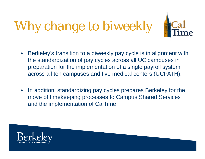# Why change to biweekly



- • Berkeley's transition to a biweekly pay cycle is in alignment with the standardization of pay cycles across all UC campuses in preparation for the implementation of a single payroll system across all ten campuses and five medical centers (UCPATH).
- $\bullet$  In addition, standardizing pay cycles prepares Berkeley for the move of timekeeping processes to Campus Shared Services and the implementation of CalTime.

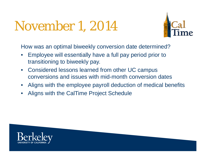## November 1, 2014



How was an optimal biweekly conversion date determined?

- • Employee will essentially have a full pay period prior to transitioning to biweekly pay.
- $\bullet$  Considered lessons learned from other UC campus conversions and issues with mid-month conversion dates
- •Aligns with the employee payroll deduction of medical benefits
- •Aligns with the CalTime Project Schedule

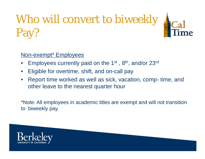# Who will convert to biweekly Pay?



### Non-exempt\* Employees

- •Employees currently paid on the 1st , 8th, and/or 23rd
- •Eligible for overtime, shift, and on-call pay
- • Report time worked as well as sick, vacation, comp- time, and other leave to the nearest quarter hour

\*Note: All employees in academic titles are exempt and will not transition to biweekly pay.

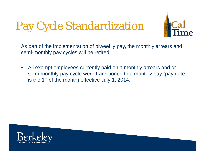## Pay Cycle Standardization



As part of the implementation of biweekly pay, the monthly arrears and semi-monthly pay cycles will be retired.

 $\bullet$  All exempt employees currently paid on a monthly arrears and or semi-monthly pay cycle were transitioned to a monthly pay (pay date is the 1<sup>st</sup> of the month) effective July 1, 2014.

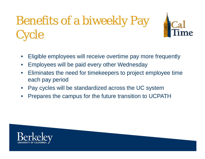## Benefits of a biweekly Pay **Cycle**



- •Eligible employees will receive overtime pay more frequently
- •Employees will be paid every other Wednesday
- $\bullet$  Eliminates the need for timekeepers to project employee time each pay period
- •Pay cycles will be standardized across the UC system
- •Prepares the campus for the future transition to UCPATH

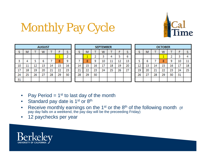

## Monthly Pay Cycle

|    |    |    | <b>AUGUST</b> |    |    |    |    |    |    | <b>SEPTEMBER</b> |         |    |    |    |    |    | <b>OCTOBER</b> |    |    |    |
|----|----|----|---------------|----|----|----|----|----|----|------------------|---------|----|----|----|----|----|----------------|----|----|----|
|    | M  |    | W             |    |    |    |    | M  |    | w                |         |    |    |    | м  |    | w              |    |    |    |
|    |    |    |               |    |    | ÷  |    |    |    |                  |         |    | ь  |    |    |    |                |    |    |    |
|    |    |    | 0             |    |    | 9  |    | 8  | 9  | 10               | ٠<br>ᆂᆂ | 12 | 13 |    |    |    |                | 9  | 10 | 11 |
| 10 | ⊥⊥ | 12 | 13            | 14 | 15 | 16 | 14 | 15 | 16 |                  | 18      | 19 | 20 | 12 | 13 | 14 | 15             | 16 |    | 18 |
| 17 | 18 | 19 | 20            | 21 | 22 | 23 | 21 | 22 | 23 | 24               | 25      | 26 | 27 | 19 | 20 | 21 | 22             | 23 | 24 | 25 |
| 24 | 25 | 26 | 27            | 28 | 29 | 30 | 28 | 29 | 30 |                  |         |    |    | 26 | 27 | 28 | 29             | 30 | 31 |    |
| 31 |    |    |               |    |    |    |    |    |    |                  |         |    |    |    |    |    |                |    |    |    |

- •Pay Period  $= 1<sup>st</sup>$  to last day of the month
- $\bullet$ Standard pay date is 1<sup>st</sup> or 8<sup>th</sup>
- •Receive monthly earnings on the 1<sup>st</sup> or the 8<sup>th</sup> of the following month (If pay day falls on a weekend, the pay day will be the preceeding Friday)
- •12 paychecks per year

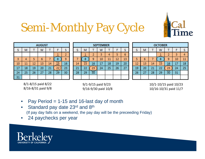

## Semi-Monthly Pay Cycle

|    |    |    | <b>AUGUST</b> |    |            |    |
|----|----|----|---------------|----|------------|----|
| s  | м  | ı  | w             |    |            | s  |
|    |    |    |               |    |            | 2  |
| 3  | 4  | 5  | 6             |    | 8          | 9  |
| 10 | 11 | 12 | 13            | 14 | <u> 15</u> | 16 |
| 17 | 18 | 19 | 20            | 21 | 22         | 23 |
| 24 | 25 | 26 | 27            | 28 | 29         | 30 |
| 31 |    |    |               |    |            |    |

|    |                 |    | <b>SEPTEMBER</b> |    |    |    |
|----|-----------------|----|------------------|----|----|----|
| s  | М               |    | w                |    |    | S  |
|    |                 | 2  | 3                |    | 5  | 6  |
|    | 8               | 9  | 10               | 11 | 12 | 13 |
| 14 | $\overline{15}$ | 16 | 17               | 18 | 19 | 20 |
| 21 | 22              | 23 | 24               | 25 | 26 | 27 |
| 28 | 29              | 30 |                  |    |    |    |
|    |                 |    |                  |    |    |    |

|    |    |    | <b>OCTOBER</b> |                |    |    |
|----|----|----|----------------|----------------|----|----|
| s  | м  |    | w              |                |    | s  |
|    |    |    |                | $\overline{2}$ | 3  |    |
| 5  | 6  |    | 8              | 9              | 10 | 11 |
| 12 | 13 | 14 | 15             | 16             | 17 | 18 |
| 19 | 20 | 21 | 22             | 23             | 24 | 25 |
| 26 | 27 | 28 | 29             | 30             | 31 |    |
|    |    |    |                |                |    |    |

8/1‐8/15 paid 8/22 8/16‐8/31 paid 9/8

9/1‐9/15 paid 9/23 9/16‐9/30 paid 10/8

10/1‐10/15 paid 10/23 10/16‐10/31 paid 11/7

- $\bullet$ Pay Period  $= 1-15$  and 16-last day of month
- •Standard pay date 23rd and 8th (If pay day falls on a weekend, the pay day will be the preceeding Friday)
- •24 paychecks per year

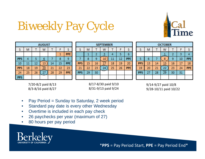

## Biweekly Pay Cycle

|            | <b>AUGUST</b> |    |    |    |    |            |  |  |  |  |
|------------|---------------|----|----|----|----|------------|--|--|--|--|
| S          | м             |    | w  |    |    | S          |  |  |  |  |
|            |               |    |    |    |    | <b>PPE</b> |  |  |  |  |
| <b>PPS</b> |               | 5  | 6  |    | 8  | 9          |  |  |  |  |
| 10         | 11            | 12 | 13 | 14 | 15 | <b>PPE</b> |  |  |  |  |
| <b>PPS</b> | 18            | 19 | 20 | 21 | 22 | 23         |  |  |  |  |
| 24         | 25            | 26 | 27 | 28 | 29 | <b>PPE</b> |  |  |  |  |
| <b>PPS</b> |               |    |    |    |    |            |  |  |  |  |

|            |    |    | <b>SEPTEMBER</b> |    |    |            |
|------------|----|----|------------------|----|----|------------|
| s          | М  |    | W                |    |    | s          |
|            |    | 2  |                  | 4  | 5  | 6          |
| 7          | 8  | 9  | 10               | 11 | 12 | <b>PPE</b> |
| <b>PPS</b> | 15 | 16 |                  | 18 | 19 | 20         |
| 21         | 22 | 23 | 24               | 25 | 26 | <b>PPE</b> |
| <b>PPS</b> | 29 | 30 |                  |    |    |            |
|            |    |    |                  |    |    |            |

|            |    |    | <b>OCTOBER</b> |    |    |            |
|------------|----|----|----------------|----|----|------------|
| S          | М  |    | w              |    |    | s          |
|            |    |    |                | 2  | 3  |            |
| 5          | 6  |    | 8              | 9  | 10 | <b>PPE</b> |
| <b>PPS</b> | 13 | 14 | 15             | 16 | 17 | 18         |
| 19         | 20 | 21 | 22             | 23 | 24 | <b>PPE</b> |
| <b>PPS</b> | 27 | 28 | 29             | 30 | 31 |            |
|            |    |    |                |    |    |            |

7/20‐8/2 paid 8/13 8/3‐8/16 paid 8/27



9/14‐9/27 paid 10/8 9/28‐10/11 paid 10/22

- •Pay Period = Sunday to Saturday, 2 week period
- $\bullet$ Standard pay date is every other Wednesday
- •Overtime is included in each pay check
- •26 paychecks per year (maximum of 27)
- •80 hours per pay period



\***PPS** = Pay Period Start, **PPE** = Pay Period End\*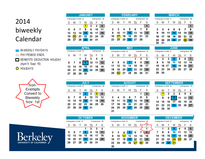### 2014 biweekly Calendar



O HOLIDAYS





|    |                           |    | <b>JANUARY</b>  |       |                    |    |
|----|---------------------------|----|-----------------|-------|--------------------|----|
|    | Working days in month: 23 |    |                 |       | Working hours: 184 |    |
| s  | м                         |    |                 |       |                    | s  |
|    |                           |    |                 | 2     | з                  | 4  |
|    |                           |    |                 |       |                    |    |
| 5  | 6                         |    | 8               | 9     | 10                 | 11 |
| 12 | 13                        | 14 | 15 <sup>1</sup> | 16 17 |                    | 18 |
| 19 |                           |    | 21  22  23  24  |       |                    | 25 |

|    |                           |                  | <b>FEBRUARY</b> |             |                    |    |
|----|---------------------------|------------------|-----------------|-------------|--------------------|----|
|    | Working days in month: 20 |                  |                 |             | Working hours: 160 |    |
| s  | м                         |                  | w               |             |                    | s  |
|    |                           |                  |                 |             |                    |    |
|    |                           |                  |                 |             |                    |    |
| 2  |                           | $\boldsymbol{A}$ | -5              | 6           |                    | 8  |
| 9  | 10                        |                  |                 | 11 12 13 14 |                    | 15 |
| 16 |                           | 18               |                 | 19 20 21    |                    | 22 |
| 23 |                           | 25 <sup>2</sup>  |                 | 26 27 28    |                    |    |

|              |                           |     | <b>MARCH</b> |                   |                    |    |
|--------------|---------------------------|-----|--------------|-------------------|--------------------|----|
|              | Vorking days in month: 21 |     |              |                   | Working hours: 168 |    |
| <sub>S</sub> | M                         | T W |              | - Th              | -F                 | s  |
|              |                           |     |              |                   |                    | 1  |
| $\mathbf{2}$ | -3                        | 45  |              | - 6               | - 7                | 8  |
| 9            |                           |     |              | 10 11 12 13 14 15 |                    |    |
| 16           | 17 <sub>18</sub>          |     |              | 19 20 21          |                    | 22 |
| 23           |                           |     |              | 24 25 26 27 28 29 |                    |    |
| 30           | 31                        |     |              |                   |                    |    |
|              |                           |     |              |                   |                    |    |

|    |                           |              | <b>IPRIL</b> |                      |                    |    |
|----|---------------------------|--------------|--------------|----------------------|--------------------|----|
|    | Working days in month: 22 |              |              |                      | Working hours: 176 |    |
| s  | м                         | $\mathbf{T}$ | W            | Πh                   | - F                | s  |
|    |                           |              |              | 2 3 4                |                    | 5  |
|    | 67                        | 8            |              | $9$ 10 11 12         |                    |    |
| 13 | 14                        |              |              | 15 16 17             | 18                 | 19 |
|    |                           |              |              | 20 21 22 23 24 25 26 |                    |    |
|    | 28                        | - 29         | 30           |                      |                    |    |

|    |                           |       | <b>MAY</b> |                |                    |    |
|----|---------------------------|-------|------------|----------------|--------------------|----|
|    | Working days in month: 22 |       |            |                | Working hours: 176 |    |
| S  | м                         | - 1 - | w          | Πh             | ۴                  | s  |
|    |                           |       |            | 1              | 2                  | 3  |
|    |                           |       |            |                |                    |    |
| 4  | 5                         |       | 6 7 8      |                | 9                  | 10 |
| 11 |                           | 12 13 | 14         | 15             | 16                 | 17 |
| 18 |                           |       |            | 19 20 21 22 23 |                    | 24 |

|    | <b>JUNE</b>                                     |     |     |          |    |    |  |  |  |  |  |
|----|-------------------------------------------------|-----|-----|----------|----|----|--|--|--|--|--|
|    | Working days in month: 21<br>Working hours: 168 |     |     |          |    |    |  |  |  |  |  |
| s  | м                                               |     | w   | Ih       | F  | s  |  |  |  |  |  |
| 1  | 2                                               | з   | 4   | 5        | 6  |    |  |  |  |  |  |
| 8  | 9                                               | 10  | 11  | 12       | 13 | 14 |  |  |  |  |  |
| 15 | 16 17                                           |     | 18. | 19       | 20 | 21 |  |  |  |  |  |
| 22 | 23                                              | -24 |     | 25 26 27 |    | 28 |  |  |  |  |  |
|    |                                                 |     |     |          |    |    |  |  |  |  |  |

|    |                           |              | <b>JULY</b>     |                |                    |      |    |                   |  |
|----|---------------------------|--------------|-----------------|----------------|--------------------|------|----|-------------------|--|
|    | Working days in month: 23 |              |                 |                | Working hours: 184 |      |    | Working days in r |  |
| s  | Μ                         | $\mathbb{L}$ | W               | Πh             | F                  | s    | s  | M                 |  |
|    |                           | 1.           | $\mathbf{2}$    | $\mathbf{3}$   |                    | 5    |    |                   |  |
| 6  | 7                         | 8            | 9               | 10             | 11                 | 12   | з  | 4                 |  |
| 13 | 14                        |              |                 | 15  16  17  18 |                    | 19   | 10 | 11                |  |
| 20 | 21                        |              |                 | 22 23 24 25    |                    | - 26 | 17 | 18                |  |
|    | 27 28 29                  |              | 30 <sub>1</sub> | -31            |                    |      | 24 | 25                |  |
|    |                           |              |                 |                |                    |      | 24 |                   |  |

| <b>AUGUST</b>                                   |    |        |       |                |    |                |  |  |  |  |  |  |
|-------------------------------------------------|----|--------|-------|----------------|----|----------------|--|--|--|--|--|--|
| Vorking days in month: 21<br>Working hours: 168 |    |        |       |                |    |                |  |  |  |  |  |  |
| S                                               | М  | $\top$ | w     | Ιh             | F  | s              |  |  |  |  |  |  |
|                                                 |    |        |       |                | 1  | $\overline{2}$ |  |  |  |  |  |  |
| 3                                               | -4 | 5      | 6     | 7              | 8  | 9              |  |  |  |  |  |  |
| 10                                              | 11 | 12     | $-13$ | 14 15          |    | 16             |  |  |  |  |  |  |
| 17                                              | 18 | 19     | 20    | 21             | 22 | 23             |  |  |  |  |  |  |
| 24                                              |    |        |       | 25 26 27 28 29 |    | 30             |  |  |  |  |  |  |
| 31                                              |    |        |       |                |    |                |  |  |  |  |  |  |
|                                                 |    |        |       |                |    |                |  |  |  |  |  |  |

| <b>SEPTEMBER</b>                                |                      |    |                     |                   |        |   |  |  |  |  |  |
|-------------------------------------------------|----------------------|----|---------------------|-------------------|--------|---|--|--|--|--|--|
| Working days in month: 22<br>Working hours: 176 |                      |    |                     |                   |        |   |  |  |  |  |  |
| S.                                              |                      |    |                     | MTW JhF           |        | s |  |  |  |  |  |
|                                                 |                      |    | $2 \quad 3 \quad 4$ |                   | $^-$ 5 | 6 |  |  |  |  |  |
|                                                 | 8.                   |    |                     | 9 10 11 12 13     |        |   |  |  |  |  |  |
| 14                                              |                      |    |                     | 15 16 17 18 19 20 |        |   |  |  |  |  |  |
|                                                 | 21 22 23 24 25 26 27 |    |                     |                   |        |   |  |  |  |  |  |
| 28                                              | 29                   | 30 |                     |                   |        |   |  |  |  |  |  |

S  $\frac{6}{13}$ 

20 27

| <b>OCTOBER</b> |   |                |    |                           |                 |                            |  |  |  |  |
|----------------|---|----------------|----|---------------------------|-----------------|----------------------------|--|--|--|--|
|                |   |                |    |                           |                 |                            |  |  |  |  |
| s              | м |                | w  |                           | F.              | s                          |  |  |  |  |
|                |   |                |    | 2                         | $3\phantom{.0}$ |                            |  |  |  |  |
| 5              |   | - 71           | -8 |                           |                 | 11                         |  |  |  |  |
|                |   |                |    |                           |                 |                            |  |  |  |  |
|                |   | 12  13  14  15 |    | 16                        | -17             | 18                         |  |  |  |  |
| 19             |   |                |    | 20 21 22 23 24            |                 | 25                         |  |  |  |  |
|                |   | 6.             |    | Working days in month: 23 |                 | Working hours: 184<br>9 10 |  |  |  |  |

| <b>NOVEMBER</b> |    |                           |                 |    |                    |    |     |    |                           | <b>DECEMBER</b> |    |                    |    |
|-----------------|----|---------------------------|-----------------|----|--------------------|----|-----|----|---------------------------|-----------------|----|--------------------|----|
|                 |    | Working days in month: 20 |                 |    | Working hours: 160 |    |     |    | Working days in month: 23 |                 |    | Working hours: 184 |    |
| s               | м  |                           | W               |    |                    |    | s   | м  |                           | W               |    |                    | s  |
|                 |    |                           |                 |    |                    |    |     |    | 2                         | 3               |    | 5                  | 6  |
|                 |    |                           | 5               | 6  |                    |    |     | 8  | 9                         | 10              | 11 | 12                 | 13 |
| 9               | 10 |                           | 12 <sub>2</sub> | 13 | 14                 | 15 | 14  | 15 | 16                        | 17              | 18 | 19                 | 20 |
| 16              | 17 | 18                        | 19              | 20 | 21                 | 22 | 21. | 22 | 23                        |                 | 25 | 26                 | 27 |
| 23              | 24 | 25                        | 26              | 97 | 28                 | 29 | 28  | 29 |                           |                 |    |                    |    |
| 30              |    |                           |                 |    |                    |    |     |    |                           |                 |    |                    |    |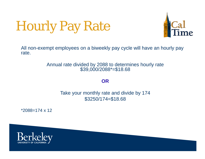## Hourly Pay Rate



All non-exempt employees on a biweekly pay cycle will have an hourly pay rate.

## Annual rate divided by 2088 to determines hourly rate \$39,000/2088\*=\$18.68

**OR**

Take your monthly rate and divide by 174 \$3250/174=\$18.68

\*2088=174 x 12

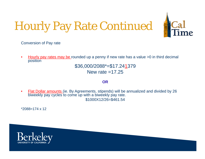## Hourly Pay Rate Continued



Conversion of Pay rate

• Hourly pay rates may be rounded up a penny if new rate has a value >0 in third decimal position

> \$36,000/2088\*=\$17.24 1379 New rate  $=17.25$

#### **OR**

• Flat Dollar amounts (ie. By Agreements, stipends) will be annualized and divided by 26 biweekly pay cycles to come up with a biweekly pay rate. \$1000X12/26=\$461.54

 $*2088=174 \times 12$ 

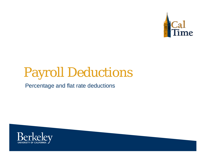

## Payroll Deductions

### Percentage and flat rate deductions

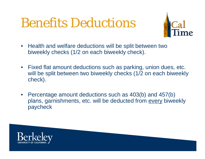## Benefits Deductions



- Health and welfare deductions will be split between two biweekly checks (1/2 on each biweekly check).
- Fixed flat amount deductions such as parking, union dues, etc. will be split between two biweekly checks (1/2 on each biweekly check).
- Percentage amount deductions such as 403(b) and 457(b) plans, garnishments, etc. will be deducted from every biweekly paycheck

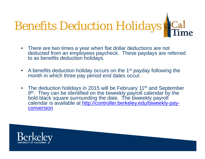

- There are two times a year when flat dollar deductions are not deducted from an employees paycheck. These paydays are referred to as benefits deduction holidays.
- A benefits deduction holiday occurs on the 1<sup>st</sup> payday following the month in which three pay period end dates occur.
- The deduction holidays in 2015 will be February 11<sup>th</sup> and September 9<sup>th</sup>. They can be identified on the biweekly payroll calendar by the bold black square surrounding the date. The biweekly payroll calendar is available at http://controller.berkeley.edu/biweekly-payconversion

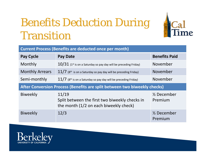## Benefits Deduction During Transition



| <b>Current Process (Benefits are deducted once per month)</b> |                                                                                                   |                                   |  |  |  |  |  |  |
|---------------------------------------------------------------|---------------------------------------------------------------------------------------------------|-----------------------------------|--|--|--|--|--|--|
| <b>Pay Cycle</b>                                              | <b>Pay Date</b>                                                                                   | <b>Benefits Paid</b>              |  |  |  |  |  |  |
| Monthly                                                       | $10/31$ (1st is on a Saturday so pay day will be preceding Friday)                                | November                          |  |  |  |  |  |  |
| <b>Monthly Arrears</b>                                        | $11/7$ (8 <sup>th</sup> is on a Saturday so pay day will be preceding Friday)                     | November                          |  |  |  |  |  |  |
| Semi-monthly                                                  | November<br>$11/7$ (8 <sup>th</sup> is on a Saturday so pay day will be preceding Friday)         |                                   |  |  |  |  |  |  |
|                                                               | After Conversion Process (Benefits are split between two biweekly checks)                         |                                   |  |  |  |  |  |  |
| <b>Biweekly</b>                                               | 11/19<br>Split between the first two biweekly checks in<br>the month (1/2 on each biweekly check) | $\frac{1}{2}$ December<br>Premium |  |  |  |  |  |  |
| <b>Biweekly</b>                                               | 12/3                                                                                              | $\frac{1}{2}$ December<br>Premium |  |  |  |  |  |  |

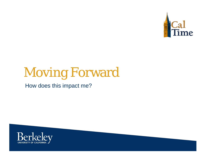

## Moving Forward

How does this impact me?

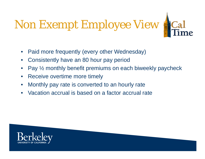# Non Exempt Employee View **ACal**



- •Paid more frequently (every other Wednesday)
- •Consistently have an 80 hour pay period
- •Pay ½ monthly benefit premiums on each biweekly paycheck
- •Receive overtime more timely
- •Monthly pay rate is converted to an hourly rate
- •Vacation accrual is based on a factor accrual rate

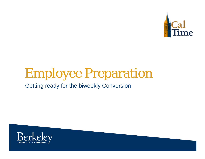

## Employee Preparation

Getting ready for the biweekly Conversion

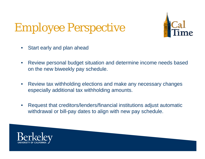## Employee Perspective



- $\bullet$ Start early and plan ahead
- $\bullet$  Review personal budget situation and determine income needs based on the new biweekly pay schedule.
- $\bullet$  Review tax withholding elections and make any necessary changes especially additional tax withholding amounts.
- $\bullet$  Request that creditors/lenders/financial institutions adjust automatic withdrawal or bill-pay dates to align with new pay schedule.

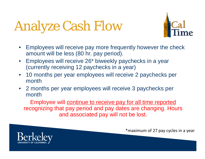# Analyze Cash Flow



- Employees will receive pay more frequently however the check amount will be less (80 hr. pay period).
- • Employees will receive 26\* biweekly paychecks in a year (currently receiving 12 paychecks in a year)
- 10 months per year employees will receive 2 paychecks per month
- 2 months per year employees will receive 3 paychecks per month

Employee will continue to receive pay for all time reported recognizing that pay period and pay dates are changing. Hours and associated pay will not be lost.



\*maximum of 27 pay cycles in a year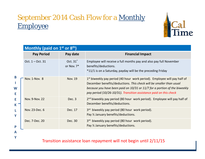### September 2014 Cash Flow for a Monthly Employee



|             | Monthly (paid on 1 <sup>st</sup> or 8 <sup>th</sup> ) |                        |                                                                                                                                                                                                                                                                                                      |
|-------------|-------------------------------------------------------|------------------------|------------------------------------------------------------------------------------------------------------------------------------------------------------------------------------------------------------------------------------------------------------------------------------------------------|
|             | <b>Pay Period</b>                                     | Pay date               | <b>Financial Impact</b>                                                                                                                                                                                                                                                                              |
|             | Oct. 1 – Oct. 31                                      | Oct. 31*<br>or Nov. 7* | Employee will receive a full months pay and also pay full November<br>benefits/deductions.<br>*11/1 is on a Saturday, payday will be the preceding Friday                                                                                                                                            |
| B<br>W<br>E | Nov. 1-Nov. 8                                         | <b>Nov. 19</b>         | $1st$ biweekly pay period (40 hour work period). Employee will pay half of<br>December benefits/deductions. This check will be smaller than usual<br>because you have been paid on 10/31 or 11/7 for a portion of the biweekly<br>pay period (10/26-10/31). Transition assistance paid on this check |
| E<br>K      | Nov. 9-Nov. 22                                        | Dec. 3                 | 2 <sup>nd</sup> biweekly pay period (80 hour work period). Employee will pay half of<br>December benefits/deductions.                                                                                                                                                                                |
| Y           | Nov. 23-Dec. 6                                        | Dec. 17                | 3rd biweekly pay period (80 hour work period).<br>Pay 1/2 January benefits/deductions.                                                                                                                                                                                                               |
| P           | Dec. 7-Dec. 20                                        | Dec. 30                | 3rd biweekly pay period (80 hour work period).<br>Pay 1/2 January benefits/deductions.                                                                                                                                                                                                               |

#### **A Y**

### Transition assistance loan repayment will not begin until 2/11/15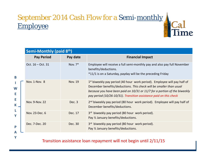## September 2014 Cash Flow for a Semi-monthly Employee

|        | Semi-Monthly (paid 8th) |                |                                                                                                                                                                                                                                                                                                      |
|--------|-------------------------|----------------|------------------------------------------------------------------------------------------------------------------------------------------------------------------------------------------------------------------------------------------------------------------------------------------------------|
|        | <b>Pay Period</b>       | Pay date       | <b>Financial Impact</b>                                                                                                                                                                                                                                                                              |
| B      | Oct. $16 - Oct. 31$     | Nov. $7^*$     | Employee will receive a full semi-monthly pay and also pay full November<br>benefits/deductions.<br>*11/1 is on a Saturday, payday will be the preceding Friday                                                                                                                                      |
| W<br>E | Nov. 1-Nov. 8           | <b>Nov. 19</b> | $1st$ biweekly pay period (40 hour work period). Employee will pay half of<br>December benefits/deductions. This check will be smaller than usual<br>because you have been paid on 10/31 or 11/7 for a portion of the biweekly<br>pay period (10/26-10/31). Transition assistance paid on this check |
| E<br>К | Nov. 9-Nov. 22          | Dec. 3         | 2 <sup>nd</sup> biweekly pay period (80 hour work period). Employee will pay half of<br>December benefits/deductions.                                                                                                                                                                                |
| L<br>Y | Nov. 23-Dec. 6          | Dec. 17        | 3rd biweekly pay period (80 hour work period).<br>Pay 1/2 January benefits/deductions.                                                                                                                                                                                                               |
| P<br>A | Dec. 7-Dec. 20          | Dec. 30        | 3rd biweekly pay period (80 hour work period).<br>Pay 1/2 January benefits/deductions.                                                                                                                                                                                                               |

ie

### Transition assistance loan repayment will not begin until 2/11/15

**Y**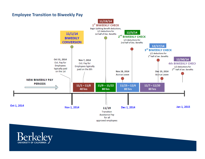### **Employee Transition to Biweekly Pay**



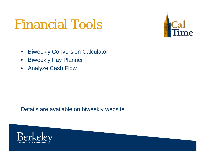## Financial Tools



- $\bullet$ Biweekly Conversion Calculator
- $\bullet$ Biweekly Pay Planner
- •Analyze Cash Flow

Details are available on biweekly website

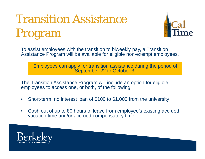## Transition Assistance Program



To assist employees with the transition to biweekly pay, a Transition Assistance Program will be available for eligible non-exempt employees.

Employees can apply for transition assistance during the period of September 22 to October 3.

The Transition Assistance Program will include an option for eligible employees to access one, or both, of the following:

- $\bullet$ Short-term, no interest loan of \$100 to \$1,000 from the university
- • Cash out of up to 80 hours of leave from employee's existing accrued vacation time and/or accrued compensatory time

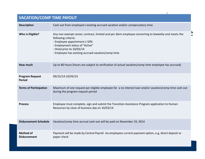### **VACATION/COMP TIME PAYOUT**

| <b>Description</b>                      | Cash out from employee's existing accrued vacation and/or compensatory time                                                                                                                                                                                                            |
|-----------------------------------------|----------------------------------------------------------------------------------------------------------------------------------------------------------------------------------------------------------------------------------------------------------------------------------------|
| <b>Who is Eligible?</b>                 | Any non-exempt career, contract, limited and per diem employee converting to biweekly and meets the<br>following criteria:<br>- Employee appointment $\geq 50\%$<br>- Employment status of "Active"<br>- Hired prior to 10/03/14<br>- Employee has existing accrued vacation/comp time |
| <b>How much</b>                         | Up to 80 hours (hours are subject to verification of actual vacation/comp time employee has accrued)                                                                                                                                                                                   |
| <b>Program Request</b><br><b>Period</b> | 09/22/14-10/03/14                                                                                                                                                                                                                                                                      |
| <b>Terms of Participation</b>           | Maximum of one request per eligible employee for a no interest loan and/or vacation/comp time cash out<br>during the program request period                                                                                                                                            |
| <b>Process</b>                          | Employee must complete, sign and submit the Transition Assistance Program application to Human<br>Resources by close of business day on 10/03/14.                                                                                                                                      |
| <b>Disbursement Schedule</b>            | Vacation/comp time accrual cash-out will be paid on November 19, 2014                                                                                                                                                                                                                  |
| <b>Method of</b><br><b>Disbursement</b> | Payment will be made by Central Payroll via employees current payment option, e.g, direct deposit or<br>paper check                                                                                                                                                                    |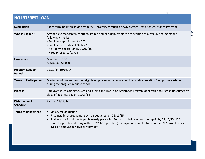### **NO INTEREST LOAN**

| <b>Description</b>                      | Short-term, no interest loan from the University through a newly created Transition Assistance Program                                                                                                                                                                                                                                            |
|-----------------------------------------|---------------------------------------------------------------------------------------------------------------------------------------------------------------------------------------------------------------------------------------------------------------------------------------------------------------------------------------------------|
| Who is Eligible?                        | Any non-exempt career, contract, limited and per diem employee converting to biweekly and meets the<br>following criteria:<br>- Employee appointment $\geq 50\%$<br>- Employment status of "Active"<br>- No known separation by 05/06/15<br>- Hired prior to 10/03/14                                                                             |
| How much                                | Minimum: \$100<br>Maximum: \$1,000                                                                                                                                                                                                                                                                                                                |
| <b>Program Request</b><br><b>Period</b> | 09/22/14-10/03/14                                                                                                                                                                                                                                                                                                                                 |
| <b>Terms of Participation</b>           | Maximum of one request per eligible employee for a no interest loan and/or vacation /comp time cash out<br>during the program request period                                                                                                                                                                                                      |
| <b>Process</b>                          | Employee must complete, sign and submit the Transition Assistance Program application to Human Resources by<br>close of business day on 10/03/14                                                                                                                                                                                                  |
| <b>Disbursement</b><br><b>Schedule</b>  | Paid on 11/19/14                                                                                                                                                                                                                                                                                                                                  |
| <b>Terms of Repayment</b>               | • Via payroll deduction<br>• First installment repayment will be deducted on 02/11/15<br>Paid in equal installments per biweekly pay cycle. Entire loan balance must be repaid by 07/15/15 (12th<br>biweekly pay days starting with the 2/11/15 pay date). Repayment formula: Loan amount/12 biweekly pay<br>cycles = amount per biweekly pay day |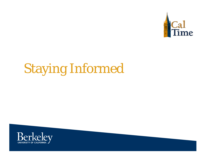

# Staying Informed

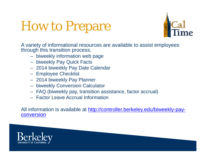## How to Prepare



A variety of informational resources are available to assist employees through this transition process.

- biweekly information web page
- biweekly Pay Quick Facts
- 2014 biweekly Pay Date Calendar
- Employee Checklist
- 2014 biweekly Pay Planner
- biweekly Conversion Calculator
- FAQ (biweekly pay, transition assistance, factor accrual)
- Factor Leave Accrual Information

All information is available at http://controller.berkeley.edu/biweekly-payconversion

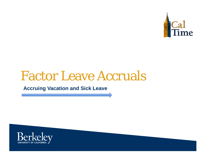

## Factor Leave Accruals

**Accruing Vacation and Sick Leave**

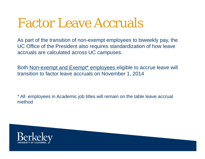## Factor Leave Accruals

As part of the transition of non-exempt employees to biweekly pay, the UC Office of the President also requires standardization of how leave accruals are calculated across UC campuses.

Both Non-exempt and Exempt<sup>\*</sup> employees eligible to accrue leave will transition to factor leave accruals on November 1, 2014

\* All employees in Academic job titles will remain on the table leave accrual method

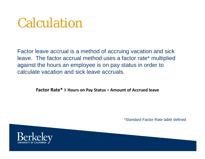## Calculation

Factor leave accrual is a method of accruing vacation and sick leave. The factor accrual method uses a factor rate\* multiplied against the hours an employee is on pay status in order to calculate vacation and sick leave accruals.

**Factor Rate\*** X **Hours on Pay Status** <sup>=</sup> **Amount of Accrued leave**

\*Standard Factor Rate table defined

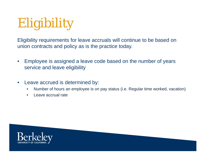## Eligibility

Eligibility requirements for leave accruals will continue to be based on union contracts and policy as is the practice today.

- $\bullet$  Employee is assigned a leave code based on the number of years service and leave eligibility
- $\bullet$  Leave accrued is determined by:
	- $\bullet$ Number of hours an employee is on pay status (i.e. Regular time worked, vacation)
	- $\bullet$ Leave accrual rate

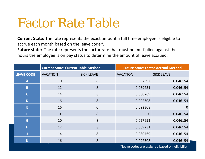## Factor Rate Table

**Current State:** The rate represents the exact amount a full time employee is eligible to accrue each month based on the leave code\*.

**Future state:** The rate represents the factor rate that must be multiplied against the hours the employee is on pay status to determine the amount of leave accrued.

|                   | <b>Current State: Current Table Method</b> |                   | <b>Future State: Factor Accrual Method</b> |                                                |  |
|-------------------|--------------------------------------------|-------------------|--------------------------------------------|------------------------------------------------|--|
| <b>LEAVE CODE</b> | <b>VACATION</b>                            | <b>SICK LEAVE</b> | <b>VACATION</b>                            | <b>SICK LEAVE</b>                              |  |
| A                 | 10                                         | 8                 | 0.057692                                   | 0.046154                                       |  |
| B                 | 12                                         | 8                 | 0.069231                                   | 0.046154                                       |  |
| $\mathsf{C}$      | 14                                         | 8                 | 0.080769                                   | 0.046154                                       |  |
| D                 | 16                                         | 8                 | 0.092308                                   | 0.046154                                       |  |
| E                 | 16                                         | $\overline{0}$    | 0.092308                                   | $\overline{0}$                                 |  |
| F                 | $\Omega$                                   | 8                 | $\overline{0}$                             | 0.046154                                       |  |
| G                 | 10                                         | 8                 | 0.057692                                   | 0.046154                                       |  |
| н                 | 12                                         | 8                 | 0.069231                                   | 0.046154                                       |  |
|                   | 14                                         | 8                 | 0.080769                                   | 0.046154                                       |  |
| K                 | 16                                         | 8                 | 0.092308                                   | 0.046154                                       |  |
|                   |                                            |                   |                                            | *leave codes are assigned based on eligibility |  |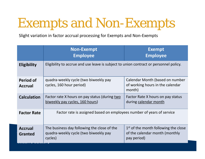## Exempts and Non-Exempts

Slight variation in factor accrual processing for Exempts and Non‐Exempts

|                                    | <b>Non-Exempt</b><br><b>Employee</b>                                                            | <b>Exempt</b><br><b>Employee</b>                                                        |  |  |
|------------------------------------|-------------------------------------------------------------------------------------------------|-----------------------------------------------------------------------------------------|--|--|
| <b>Eligibility</b>                 | Eligibility to accrue and use leave is subject to union contract or personnel policy.           |                                                                                         |  |  |
| <b>Period of</b><br><b>Accrual</b> | quadra-weekly cycle (two biweekly pay<br>cycles, 160 hour period)                               | Calendar Month (based on number<br>of working hours in the calendar<br>month)           |  |  |
| <b>Calculation</b>                 | Factor rate X hours on pay status (during two<br>biweekly pay cycles, 160 hours)                | Factor Rate X hours on pay status<br>during calendar month                              |  |  |
| <b>Factor Rate</b>                 | Factor rate is assigned based on employees number of years of service                           |                                                                                         |  |  |
| <b>Accrual</b><br><b>Granted</b>   | The business day following the close of the<br>quadra-weekly cycle (two biweekly pay<br>cycles) | $1st$ of the month following the close<br>of the calendar month (monthly<br>pay period) |  |  |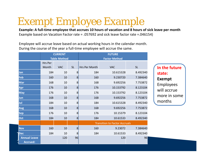## Exempt Employee Example

Example: A full-time employee that accrues 10 hours of vacation and 8 hours of sick leave per month Example based on Vacation Factor rate <sup>=</sup> .057692 and sick leave factor rate =.046154)

Employee will accrue leave based on actual working hours in the calendar month. During the course of the year <sup>a</sup> full‐time employee will accrue the same.

|                     | <b>CURRENT</b>      |            | <b>FUTURE</b>        |                                      |            |           |
|---------------------|---------------------|------------|----------------------|--------------------------------------|------------|-----------|
|                     | <b>Table Method</b> |            | <b>Factor Method</b> |                                      |            |           |
|                     | Hrs Per             |            |                      |                                      |            |           |
|                     | Month               | <b>VAC</b> | <b>SL</b>            | Hrs Per Month                        | <b>VAC</b> | <b>SL</b> |
| Jan                 | 184                 | 10         | 8                    | 184                                  | 10.615328  | 8.492340  |
| Feb                 | 160                 | 10         | 8                    | 160                                  | 9.230720   | 7.384640  |
| Mar                 | 168                 | 10         | 8                    | 168                                  | 9.692256   | 7.753872  |
| Apr                 | 176                 | 10         | 8                    | 176                                  | 10.153792  | 8.123104  |
| <b>May</b>          | 176                 | 10         | 8                    | 176                                  | 10.153792  | 8.123104  |
| Jun                 | 168                 | 10         | 8                    | 168                                  | 9.692256   | 7.753872  |
| Jul                 | 184                 | 10         | 8                    | 184                                  | 10.615328  | 8.492340  |
| <b>Aug</b>          | 168                 | 10         | 8                    | 168                                  | 9.692256   | 7.753872  |
| <b>Sep</b>          | 176                 | 10         | 8                    | 176                                  | 10.15379   | 8.123104  |
| Oct                 | 184                 | 10         | 8                    | 184                                  | 10.61533   | 8.492340  |
|                     |                     |            |                      | <b>Transition to Factor Accruals</b> |            |           |
| <b>Nov</b>          | 160                 | 10         | 8                    | 160                                  | 9.23072    | 7.384640  |
| Dec                 | 184                 | 10         | 8                    | 184                                  | 10.61533   | 8.492340  |
| <b>Annual Leave</b> |                     | 120        | 96                   |                                      | 120        | 96        |
| <b>Accrued:</b>     |                     |            |                      |                                      |            |           |

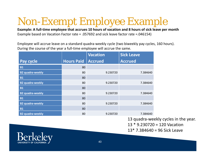## Non-Exempt Employee Example

Example: A full-time employee that accrues 10 hours of vacation and 8 hours of sick leave per month Example based on Vacation Factor rate <sup>=</sup> .057692 and sick leave factor rate =.046154)

Employee will accrue leave on <sup>a</sup> standard quadra‐weekly cycle (two biweekly pay cycles, 160 hours). During the course of the year <sup>a</sup> full‐time employee will accrue the same.

|                         |                   | <b>Vacation</b> | <b>Sick Leave</b> |  |
|-------------------------|-------------------|-----------------|-------------------|--|
| <b>Pay cycle</b>        | <b>Hours Paid</b> | <b>Accrued</b>  | <b>Accrued</b>    |  |
| <b>B1</b>               | 80                |                 |                   |  |
| <b>B2 quadra-weekly</b> | 80                | 9.230720        | 7.384640          |  |
| <b>B1</b>               | 80                |                 |                   |  |
| <b>B2 quadra-weekly</b> | 80                | 9.230720        | 7.384640          |  |
| <b>B1</b>               | 80                |                 |                   |  |
| <b>B2 quadra-weekly</b> | 80                | 9.230720        | 7.384640          |  |
| <b>B1</b>               | 80                |                 |                   |  |
| <b>B2 quadra-weekly</b> | 80                | 9.230720        | 7.384640          |  |
| <b>B1</b>               | 80                |                 |                   |  |
| <b>B2 quadra-weekly</b> | 80                | 9.230720        | 7.384640          |  |

13 quadra‐weekly cycles in the year.

13 \* 9.230720 <sup>=</sup> 120 Vacation

13\* 7.384640 <sup>=</sup> 96 Sick Leave

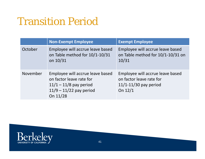## Transition Period

|          | <b>Non-Exempt Employee</b>                                                                                                        | <b>Exempt Employee</b>                                                                             |
|----------|-----------------------------------------------------------------------------------------------------------------------------------|----------------------------------------------------------------------------------------------------|
| October  | Employee will accrue leave based<br>on Table method for 10/1-10/31<br>on 10/31                                                    | Employee will accrue leave based<br>on Table method for 10/1-10/31 on<br>10/31                     |
| November | Employee will accrue leave based<br>on factor leave rate for<br>$11/1 - 11/8$ pay period<br>$11/9 - 11/22$ pay period<br>On 11/28 | Employee will accrue leave based<br>on factor leave rate for<br>$11/1-11/30$ pay period<br>On 12/1 |